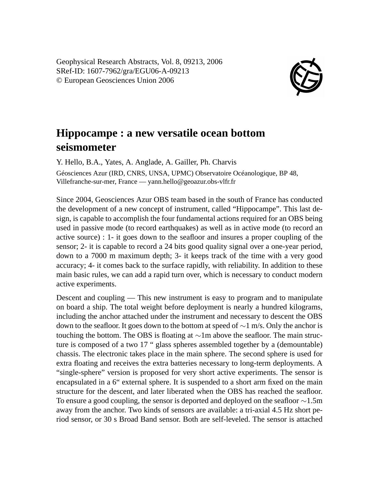Geophysical Research Abstracts, Vol. 8, 09213, 2006 SRef-ID: 1607-7962/gra/EGU06-A-09213 © European Geosciences Union 2006



## **Hippocampe : a new versatile ocean bottom seismometer**

Y. Hello, B.A., Yates, A. Anglade, A. Gailler, Ph. Charvis Géosciences Azur (IRD, CNRS, UNSA, UPMC) Observatoire Océanologique, BP 48, Villefranche-sur-mer, France — yann.hello@geoazur.obs-vlfr.fr

Since 2004, Geosciences Azur OBS team based in the south of France has conducted the development of a new concept of instrument, called "Hippocampe". This last design, is capable to accomplish the four fundamental actions required for an OBS being used in passive mode (to record earthquakes) as well as in active mode (to record an active source) : 1- it goes down to the seafloor and insures a proper coupling of the sensor; 2- it is capable to record a 24 bits good quality signal over a one-year period, down to a 7000 m maximum depth; 3- it keeps track of the time with a very good accuracy; 4- it comes back to the surface rapidly, with reliability. In addition to these main basic rules, we can add a rapid turn over, which is necessary to conduct modern active experiments.

Descent and coupling — This new instrument is easy to program and to manipulate on board a ship. The total weight before deployment is nearly a hundred kilograms, including the anchor attached under the instrument and necessary to descent the OBS down to the seafloor. It goes down to the bottom at speed of ∼1 m/s. Only the anchor is touching the bottom. The OBS is floating at ∼1m above the seafloor. The main structure is composed of a two 17 " glass spheres assembled together by a (demountable) chassis. The electronic takes place in the main sphere. The second sphere is used for extra floating and receives the extra batteries necessary to long-term deployments. A "single-sphere" version is proposed for very short active experiments. The sensor is encapsulated in a 6" external sphere. It is suspended to a short arm fixed on the main structure for the descent, and later liberated when the OBS has reached the seafloor. To ensure a good coupling, the sensor is deported and deployed on the seafloor ∼1.5m away from the anchor. Two kinds of sensors are available: a tri-axial 4.5 Hz short period sensor, or 30 s Broad Band sensor. Both are self-leveled. The sensor is attached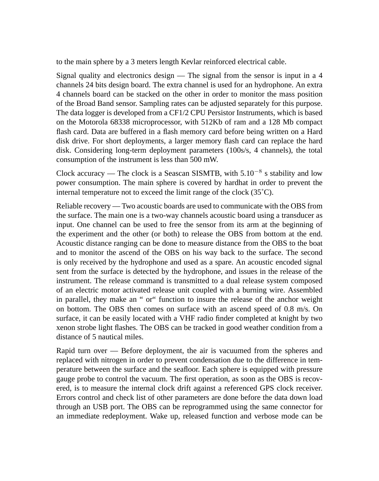to the main sphere by a 3 meters length Kevlar reinforced electrical cable.

Signal quality and electronics design  $-$  The signal from the sensor is input in a 4 channels 24 bits design board. The extra channel is used for an hydrophone. An extra 4 channels board can be stacked on the other in order to monitor the mass position of the Broad Band sensor. Sampling rates can be adjusted separately for this purpose. The data logger is developed from a CF1/2 CPU Persistor Instruments, which is based on the Motorola 68338 microprocessor, with 512Kb of ram and a 128 Mb compact flash card. Data are buffered in a flash memory card before being written on a Hard disk drive. For short deployments, a larger memory flash card can replace the hard disk. Considering long-term deployment parameters (100s/s, 4 channels), the total consumption of the instrument is less than 500 mW.

Clock accuracy — The clock is a Seascan SISMTB, with  $5.10^{-8}$  s stability and low power consumption. The main sphere is covered by hardhat in order to prevent the internal temperature not to exceed the limit range of the clock (35˚C).

Reliable recovery — Two acoustic boards are used to communicate with the OBS from the surface. The main one is a two-way channels acoustic board using a transducer as input. One channel can be used to free the sensor from its arm at the beginning of the experiment and the other (or both) to release the OBS from bottom at the end. Acoustic distance ranging can be done to measure distance from the OBS to the boat and to monitor the ascend of the OBS on his way back to the surface. The second is only received by the hydrophone and used as a spare. An acoustic encoded signal sent from the surface is detected by the hydrophone, and issues in the release of the instrument. The release command is transmitted to a dual release system composed of an electric motor activated release unit coupled with a burning wire. Assembled in parallel, they make an " or" function to insure the release of the anchor weight on bottom. The OBS then comes on surface with an ascend speed of 0.8 m/s. On surface, it can be easily located with a VHF radio finder completed at knight by two xenon strobe light flashes. The OBS can be tracked in good weather condition from a distance of 5 nautical miles.

Rapid turn over — Before deployment, the air is vacuumed from the spheres and replaced with nitrogen in order to prevent condensation due to the difference in temperature between the surface and the seafloor. Each sphere is equipped with pressure gauge probe to control the vacuum. The first operation, as soon as the OBS is recovered, is to measure the internal clock drift against a referenced GPS clock receiver. Errors control and check list of other parameters are done before the data down load through an USB port. The OBS can be reprogrammed using the same connector for an immediate redeployment. Wake up, released function and verbose mode can be